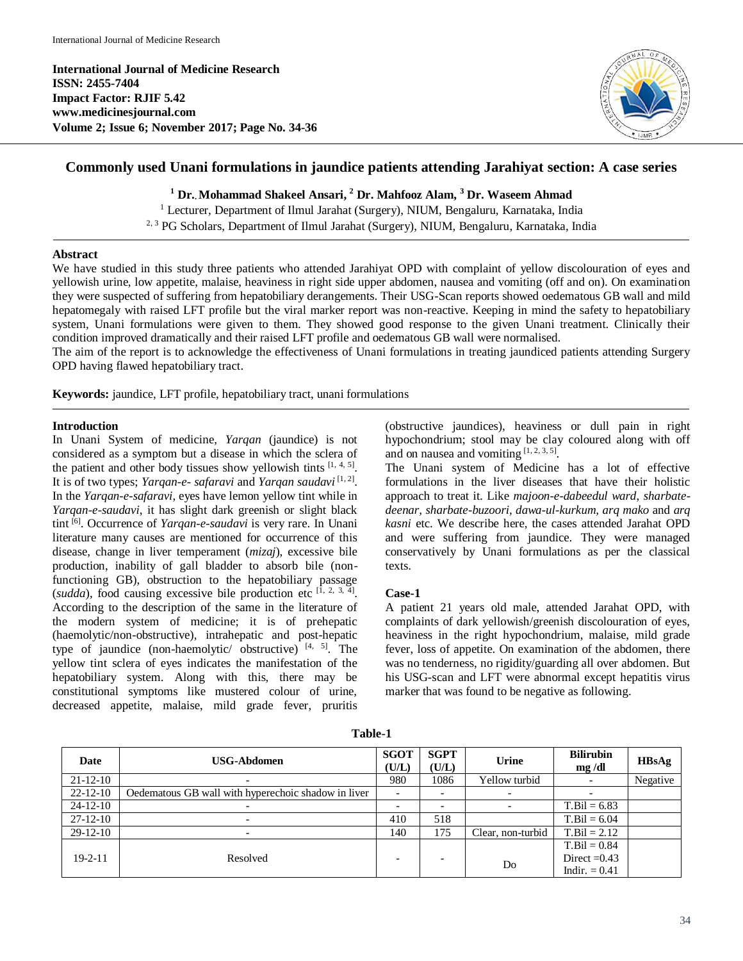**International Journal of Medicine Research ISSN: 2455-7404 Impact Factor: RJIF 5.42 www.medicinesjournal.com Volume 2; Issue 6; November 2017; Page No. 34-36**



# **Commonly used Unani formulations in jaundice patients attending Jarahiyat section: A case series**

**<sup>1</sup> Dr.. Mohammad Shakeel Ansari, <sup>2</sup> Dr. Mahfooz Alam, <sup>3</sup> Dr. Waseem Ahmad**

<sup>1</sup> Lecturer, Department of Ilmul Jarahat (Surgery), NIUM, Bengaluru, Karnataka, India 2, 3 PG Scholars, Department of Ilmul Jarahat (Surgery), NIUM, Bengaluru, Karnataka, India

#### **Abstract**

We have studied in this study three patients who attended Jarahiyat OPD with complaint of yellow discolouration of eyes and yellowish urine, low appetite, malaise, heaviness in right side upper abdomen, nausea and vomiting (off and on). On examination they were suspected of suffering from hepatobiliary derangements. Their USG-Scan reports showed oedematous GB wall and mild hepatomegaly with raised LFT profile but the viral marker report was non-reactive. Keeping in mind the safety to hepatobiliary system, Unani formulations were given to them. They showed good response to the given Unani treatment. Clinically their condition improved dramatically and their raised LFT profile and oedematous GB wall were normalised.

The aim of the report is to acknowledge the effectiveness of Unani formulations in treating jaundiced patients attending Surgery OPD having flawed hepatobiliary tract.

**Keywords:** jaundice, LFT profile, hepatobiliary tract, unani formulations

## **Introduction**

In Unani System of medicine, *Yarqan* (jaundice) is not considered as a symptom but a disease in which the sclera of the patient and other body tissues show yellowish tints  $[1, 4, 5]$ . It is of two types; *Yarqan-e- safaravi* and *Yarqan saudavi* [1, 2] . In the *Yarqan-e-safaravi*, eyes have lemon yellow tint while in *Yarqan-e-saudavi*, it has slight dark greenish or slight black tint [6] . Occurrence of *Yarqan-e-saudavi* is very rare. In Unani literature many causes are mentioned for occurrence of this disease, change in liver temperament (*mizaj*), excessive bile production, inability of gall bladder to absorb bile (nonfunctioning GB), obstruction to the hepatobiliary passage (sudda), food causing excessive bile production etc  $[1, 2, 3, 4]$ . According to the description of the same in the literature of the modern system of medicine; it is of prehepatic (haemolytic/non-obstructive), intrahepatic and post-hepatic type of jaundice (non-haemolytic/ obstructive)  $[4, 5]$ . The yellow tint sclera of eyes indicates the manifestation of the hepatobiliary system. Along with this, there may be constitutional symptoms like mustered colour of urine, decreased appetite, malaise, mild grade fever, pruritis

(obstructive jaundices), heaviness or dull pain in right hypochondrium; stool may be clay coloured along with off and on nausea and vomiting  $[1, 2, 3, 5]$ .

The Unani system of Medicine has a lot of effective formulations in the liver diseases that have their holistic approach to treat it. Like *majoon-e-dabeedul ward*, *sharbatedeenar, sharbate-buzoori, dawa-ul-kurkum, arq mako* and *arq kasni* etc. We describe here, the cases attended Jarahat OPD and were suffering from jaundice. They were managed conservatively by Unani formulations as per the classical texts.

## **Case-1**

A patient 21 years old male, attended Jarahat OPD, with complaints of dark yellowish/greenish discolouration of eyes, heaviness in the right hypochondrium, malaise, mild grade fever, loss of appetite. On examination of the abdomen, there was no tenderness, no rigidity/guarding all over abdomen. But his USG-scan and LFT were abnormal except hepatitis virus marker that was found to be negative as following.

| Date           | <b>USG-Abdomen</b>                                  | <b>SGOT</b><br>(U/L)     | <b>SGPT</b><br>(U/L) | Urine             | <b>Bilirubin</b><br>mg/dl | HBsAg    |
|----------------|-----------------------------------------------------|--------------------------|----------------------|-------------------|---------------------------|----------|
| $21-12-10$     | $\overline{\phantom{a}}$                            | 980                      | 1086                 | Yellow turbid     |                           | Negative |
| $22 - 12 - 10$ | Oedematous GB wall with hyperechoic shadow in liver | $\overline{\phantom{a}}$ |                      |                   |                           |          |
| $24-12-10$     |                                                     | $\overline{\phantom{a}}$ |                      |                   | $T.Bil = 6.83$            |          |
| $27-12-10$     | $\overline{\phantom{0}}$                            | 410                      | 518                  |                   | $T.Bil = 6.04$            |          |
| $29-12-10$     | $\overline{\phantom{0}}$                            | 140                      | 175                  | Clear, non-turbid | $T.Bil = 2.12$            |          |
|                |                                                     |                          |                      |                   | $T.Bil = 0.84$            |          |
| $19 - 2 - 11$  | Resolved                                            | $\overline{\phantom{0}}$ |                      | Do                | Direct $=0.43$            |          |
|                |                                                     |                          |                      |                   | Indir. $= 0.41$           |          |

**Table-1**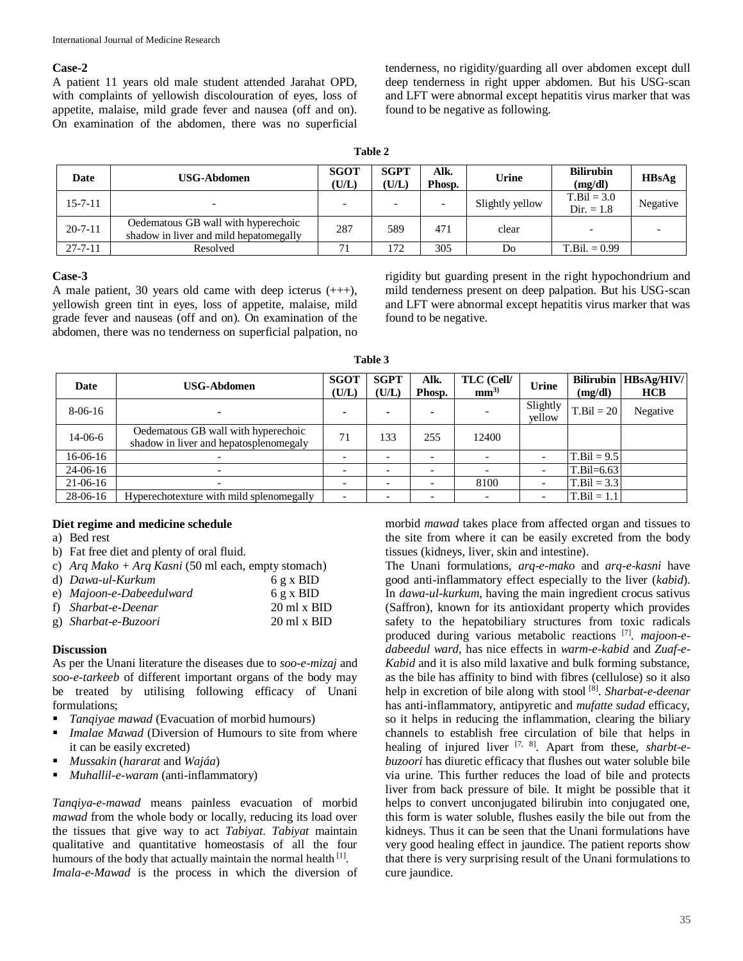#### **Case-2**

A patient 11 years old male student attended Jarahat OPD, with complaints of yellowish discolouration of eyes, loss of appetite, malaise, mild grade fever and nausea (off and on). On examination of the abdomen, there was no superficial

tenderness, no rigidity/guarding all over abdomen except dull deep tenderness in right upper abdomen. But his USG-scan and LFT were abnormal except hepatitis virus marker that was found to be negative as following.

| וחו<br>۴ |  |
|----------|--|
|----------|--|

| <b>Date</b>   | <b>USG-Abdomen</b>                                                            | <b>SGOT</b><br>(U/L)     | <b>SGPT</b><br>(U/L) | Alk.<br>Phosp. | Urine           | <b>Bilirubin</b><br>(mg/dl)   | HBsAg    |
|---------------|-------------------------------------------------------------------------------|--------------------------|----------------------|----------------|-----------------|-------------------------------|----------|
| $15 - 7 - 11$ |                                                                               | $\overline{\phantom{0}}$ |                      |                | Slightly yellow | $T.Bil = 3.0$<br>$Dir. = 1.8$ | Negative |
| $20 - 7 - 11$ | Oedematous GB wall with hyperechoic<br>shadow in liver and mild hepatomegally | 287                      | 589                  | 471            | clear           |                               |          |
| $27 - 7 - 11$ | Resolved                                                                      | 71                       | 172                  | 305            | Do              | $T.Bil. = 0.99$               |          |

### **Case-3**

A male patient, 30 years old came with deep icterus (+++), yellowish green tint in eyes, loss of appetite, malaise, mild grade fever and nauseas (off and on). On examination of the abdomen, there was no tenderness on superficial palpation, no rigidity but guarding present in the right hypochondrium and mild tenderness present on deep palpation. But his USG-scan and LFT were abnormal except hepatitis virus marker that was found to be negative.

| Date       | <b>USG-Abdomen</b>                                                            | <b>SGOT</b><br>(U/L)     | <b>SGPT</b><br>(U/L)     | Alk.<br>Phosp.           | TLC (Cell/<br>mm <sup>3</sup> | Urine              | (mg/dl)        | Bilirubin   HBsAg/HIV/<br><b>HCB</b> |
|------------|-------------------------------------------------------------------------------|--------------------------|--------------------------|--------------------------|-------------------------------|--------------------|----------------|--------------------------------------|
| $8-06-16$  | $\blacksquare$                                                                | ۰                        | $\blacksquare$           | $\blacksquare$           |                               | Slightly<br>yellow | $T.Bil = 20$   | Negative                             |
| $14-06-6$  | Oedematous GB wall with hyperechoic<br>shadow in liver and hepatosplenomegaly | 71                       | 133                      | 255                      | 12400                         |                    |                |                                      |
| $16-06-16$ |                                                                               | $\overline{\phantom{0}}$ | -                        | $\overline{\phantom{0}}$ | $\overline{\phantom{0}}$      |                    | $T.Bil = 9.5$  |                                      |
| $24-06-16$ |                                                                               |                          | $\overline{\phantom{0}}$ |                          |                               |                    | $T.Bil = 6.63$ |                                      |
| $21-06-16$ | $\overline{\phantom{0}}$                                                      |                          | $\overline{\phantom{a}}$ |                          | 8100                          |                    | $T.Bil = 3.3$  |                                      |
| $28-06-16$ | Hyperechotexture with mild splenomegally                                      | $\overline{\phantom{0}}$ |                          |                          |                               |                    | $T.Bil = 1.1$  |                                      |

**Table 3**

## **Diet regime and medicine schedule**

- a) Bed rest
- b) Fat free diet and plenty of oral fluid.
- c) *Arq Mako + Arq Kasni* (50 ml each, empty stomach)

| d) Dawa-ul-Kurkum        | 6 g x BID                         |
|--------------------------|-----------------------------------|
| e) Majoon-e-Dabeedulward | 6 g x BID                         |
| f) Sharbat-e-Deenar      | $20 \text{ ml} \times \text{BID}$ |
| g) Sharbat-e-Buzoori     | $20 \text{ ml} \times \text{BID}$ |

## **Discussion**

As per the Unani literature the diseases due to *soo-e-mizaj* and *soo-e-tarkeeb* of different important organs of the body may be treated by utilising following efficacy of Unani formulations;

- *Tanqiyae mawad* (Evacuation of morbid humours)
- *Imalae Mawad* (Diversion of Humours to site from where it can be easily excreted)
- *Mussakin* (*hararat* and *Wajáa*)
- *Muhallil-e-waram* (anti-inflammatory)

*Tanqiya-e-mawad* means painless evacuation of morbid *mawad* from the whole body or locally, reducing its load over the tissues that give way to act *Tabiyat*. *Tabiyat* maintain qualitative and quantitative homeostasis of all the four humours of the body that actually maintain the normal health [1]. *Imala-e-Mawad* is the process in which the diversion of morbid *mawad* takes place from affected organ and tissues to the site from where it can be easily excreted from the body tissues (kidneys, liver, skin and intestine).

The Unani formulations, *arq-e-mako* and *arq-e-kasni* have good anti-inflammatory effect especially to the liver (*kabid*). In *dawa-ul-kurkum*, having the main ingredient crocus sativus (Saffron), known for its antioxidant property which provides safety to the hepatobiliary structures from toxic radicals produced during various metabolic reactions [7] . *majoon-edabeedul ward*, has nice effects in *warm-e-kabid* and *Zuaf-e-Kabid* and it is also mild laxative and bulk forming substance, as the bile has affinity to bind with fibres (cellulose) so it also help in excretion of bile along with stool [8] . *Sharbat-e-deenar* has anti-inflammatory, antipyretic and *mufatte sudad* efficacy, so it helps in reducing the inflammation, clearing the biliary channels to establish free circulation of bile that helps in healing of injured liver [7, 8] . Apart from these, *sharbt-ebuzoori* has diuretic efficacy that flushes out water soluble bile via urine. This further reduces the load of bile and protects liver from back pressure of bile. It might be possible that it helps to convert unconjugated bilirubin into conjugated one, this form is water soluble, flushes easily the bile out from the kidneys. Thus it can be seen that the Unani formulations have very good healing effect in jaundice. The patient reports show that there is very surprising result of the Unani formulations to cure jaundice.